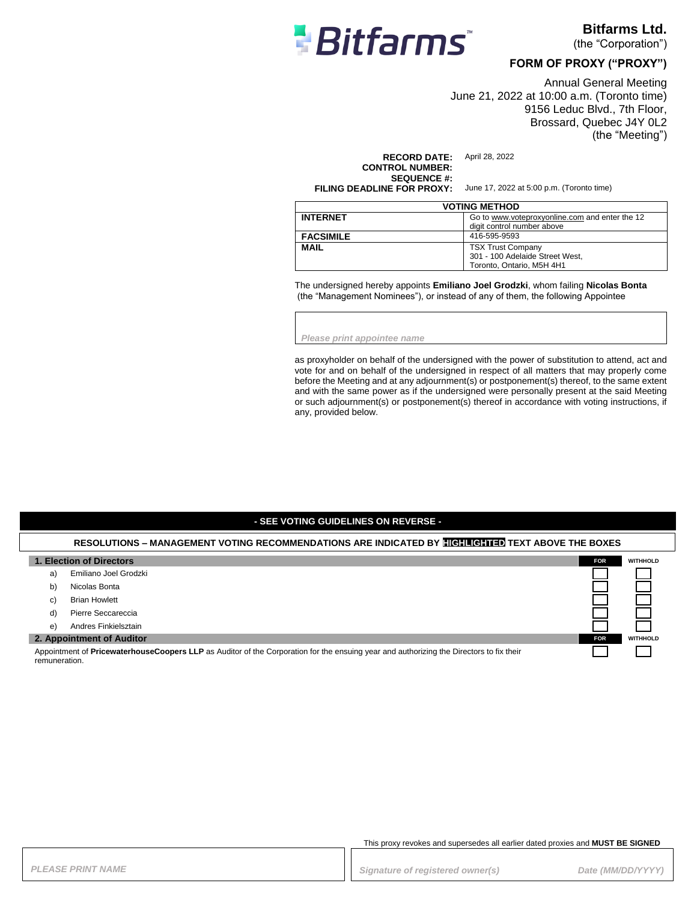

**Bitfarms Ltd.** 

(the "Corporation")

## **FORM OF PROXY ("PROXY")**

Annual General Meeting June 21, 2022 at 10:00 a.m. (Toronto time) 9156 Leduc Blvd., 7th Floor, Brossard, Quebec J4Y 0L2 (the "Meeting")

**RECORD DATE:** April 28, 2022 **CONTROL NUMBER: SEQUENCE #:**

**FILING DEADLINE FOR PROXY:** June 17, 2022 at 5:00 p.m. (Toronto time)

| <b>VOTING METHOD</b> |                                                                                          |  |
|----------------------|------------------------------------------------------------------------------------------|--|
| <b>INTERNET</b>      | Go to www.voteproxyonline.com and enter the 12<br>digit control number above             |  |
| <b>FACSIMILE</b>     | 416-595-9593                                                                             |  |
| <b>MAIL</b>          | <b>TSX Trust Company</b><br>301 - 100 Adelaide Street West,<br>Toronto. Ontario. M5H 4H1 |  |

The undersigned hereby appoints **Emiliano Joel Grodzki**, whom failing **Nicolas Bonta** (the "Management Nominees"), or instead of any of them, the following Appointee

*Please print appointee name*

as proxyholder on behalf of the undersigned with the power of substitution to attend, act and vote for and on behalf of the undersigned in respect of all matters that may properly come before the Meeting and at any adjournment(s) or postponement(s) thereof, to the same extent and with the same power as if the undersigned were personally present at the said Meeting or such adjournment(s) or postponement(s) thereof in accordance with voting instructions, if any, provided below.

#### **- SEE VOTING GUIDELINES ON REVERSE -**

#### **RESOLUTIONS – MANAGEMENT VOTING RECOMMENDATIONS ARE INDICATED BY HIGHLIGHTED TEXT ABOVE THE BOXES**

| 1. Election of Directors                                                                                                                                 |                       | <b>FOR</b> | <b>WITHHOLD</b> |
|----------------------------------------------------------------------------------------------------------------------------------------------------------|-----------------------|------------|-----------------|
| a)                                                                                                                                                       | Emiliano Joel Grodzki |            |                 |
| b)                                                                                                                                                       | Nicolas Bonta         |            |                 |
| C)                                                                                                                                                       | <b>Brian Howlett</b>  |            |                 |
| d)                                                                                                                                                       | Pierre Seccareccia    |            |                 |
| e)                                                                                                                                                       | Andres Finkielsztain  |            |                 |
| 2. Appointment of Auditor                                                                                                                                |                       | <b>FOR</b> | <b>WITHHOLD</b> |
| Appointment of PricewaterhouseCoopers LLP as Auditor of the Corporation for the ensuing year and authorizing the Directors to fix their<br>remuneration. |                       |            |                 |

This proxy revokes and supersedes all earlier dated proxies and **MUST BE SIGNED**